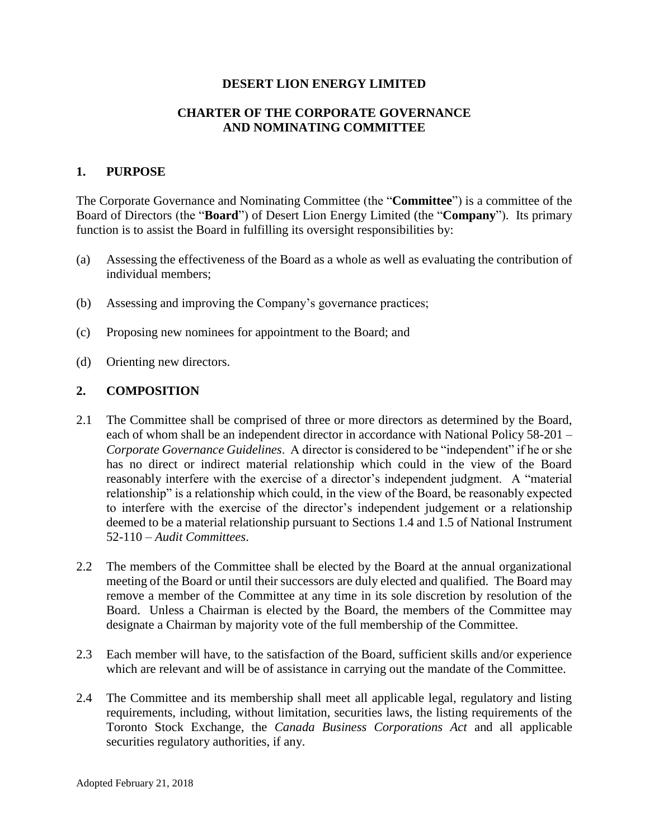## **DESERT LION ENERGY LIMITED**

## **CHARTER OF THE CORPORATE GOVERNANCE AND NOMINATING COMMITTEE**

## **1. PURPOSE**

The Corporate Governance and Nominating Committee (the "**Committee**") is a committee of the Board of Directors (the "**Board**") of Desert Lion Energy Limited (the "**Company**"). Its primary function is to assist the Board in fulfilling its oversight responsibilities by:

- (a) Assessing the effectiveness of the Board as a whole as well as evaluating the contribution of individual members;
- (b) Assessing and improving the Company's governance practices;
- (c) Proposing new nominees for appointment to the Board; and
- (d) Orienting new directors.

## **2. COMPOSITION**

- 2.1 The Committee shall be comprised of three or more directors as determined by the Board, each of whom shall be an independent director in accordance with National Policy 58-201 – *Corporate Governance Guidelines*. A director is considered to be "independent" if he or she has no direct or indirect material relationship which could in the view of the Board reasonably interfere with the exercise of a director's independent judgment. A "material relationship" is a relationship which could, in the view of the Board, be reasonably expected to interfere with the exercise of the director's independent judgement or a relationship deemed to be a material relationship pursuant to Sections 1.4 and 1.5 of National Instrument 52-110 – *Audit Committees*.
- 2.2 The members of the Committee shall be elected by the Board at the annual organizational meeting of the Board or until their successors are duly elected and qualified. The Board may remove a member of the Committee at any time in its sole discretion by resolution of the Board. Unless a Chairman is elected by the Board, the members of the Committee may designate a Chairman by majority vote of the full membership of the Committee.
- 2.3 Each member will have, to the satisfaction of the Board, sufficient skills and/or experience which are relevant and will be of assistance in carrying out the mandate of the Committee.
- 2.4 The Committee and its membership shall meet all applicable legal, regulatory and listing requirements, including, without limitation, securities laws, the listing requirements of the Toronto Stock Exchange, the *Canada Business Corporations Act* and all applicable securities regulatory authorities, if any.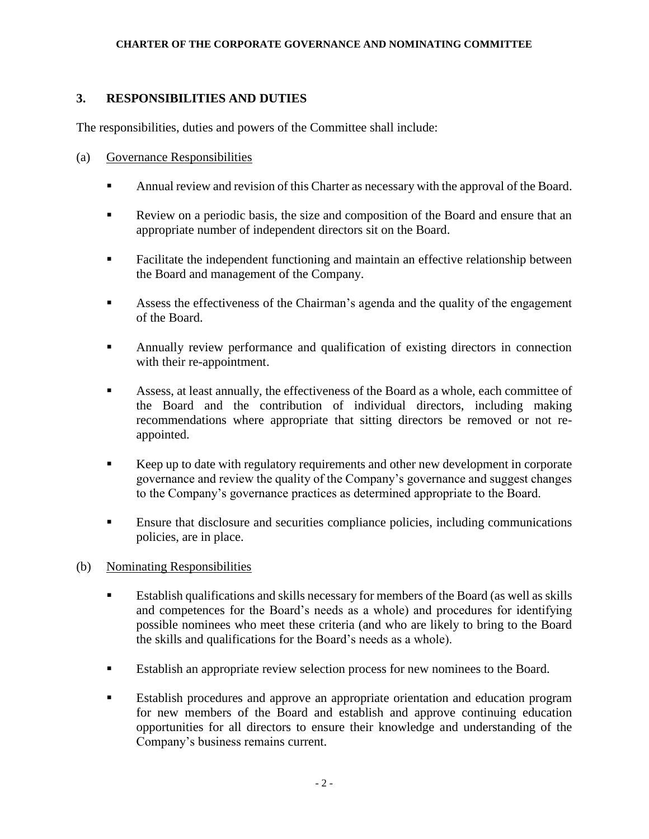### **CHARTER OF THE CORPORATE GOVERNANCE AND NOMINATING COMMITTEE**

# **3. RESPONSIBILITIES AND DUTIES**

The responsibilities, duties and powers of the Committee shall include:

- (a) Governance Responsibilities
	- Annual review and revision of this Charter as necessary with the approval of the Board.
	- Review on a periodic basis, the size and composition of the Board and ensure that an appropriate number of independent directors sit on the Board.
	- Facilitate the independent functioning and maintain an effective relationship between the Board and management of the Company.
	- Assess the effectiveness of the Chairman's agenda and the quality of the engagement of the Board.
	- **EXECUTE:** Annually review performance and qualification of existing directors in connection with their re-appointment.
	- Assess, at least annually, the effectiveness of the Board as a whole, each committee of the Board and the contribution of individual directors, including making recommendations where appropriate that sitting directors be removed or not reappointed.
	- Keep up to date with regulatory requirements and other new development in corporate governance and review the quality of the Company's governance and suggest changes to the Company's governance practices as determined appropriate to the Board.
	- Ensure that disclosure and securities compliance policies, including communications policies, are in place.

## (b) Nominating Responsibilities

- Establish qualifications and skills necessary for members of the Board (as well as skills and competences for the Board's needs as a whole) and procedures for identifying possible nominees who meet these criteria (and who are likely to bring to the Board the skills and qualifications for the Board's needs as a whole).
- Establish an appropriate review selection process for new nominees to the Board.
- Establish procedures and approve an appropriate orientation and education program for new members of the Board and establish and approve continuing education opportunities for all directors to ensure their knowledge and understanding of the Company's business remains current.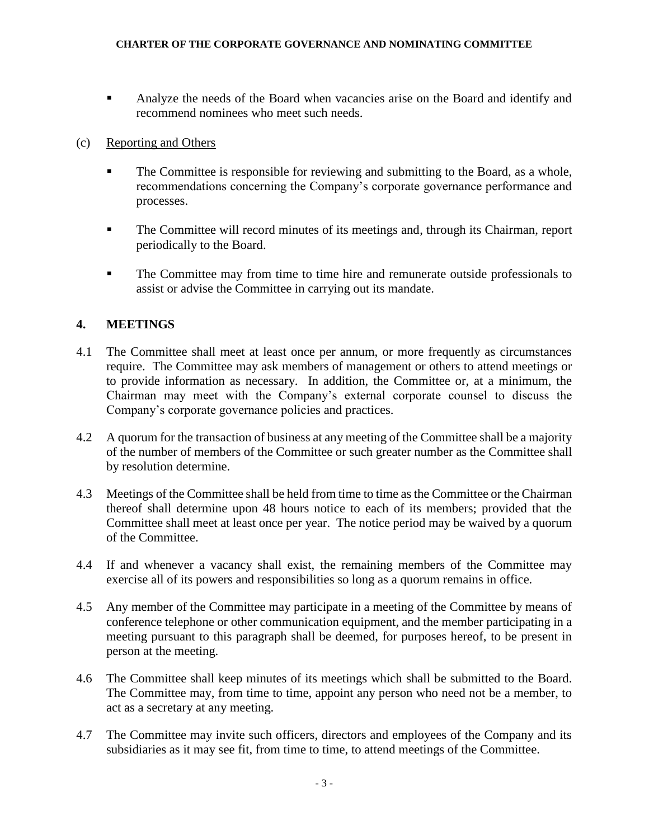**EXECUTE:** Analyze the needs of the Board when vacancies arise on the Board and identify and recommend nominees who meet such needs.

# (c) Reporting and Others

- The Committee is responsible for reviewing and submitting to the Board, as a whole, recommendations concerning the Company's corporate governance performance and processes.
- The Committee will record minutes of its meetings and, through its Chairman, report periodically to the Board.
- **The Committee may from time to time hire and remunerate outside professionals to** assist or advise the Committee in carrying out its mandate.

# **4. MEETINGS**

- 4.1 The Committee shall meet at least once per annum, or more frequently as circumstances require. The Committee may ask members of management or others to attend meetings or to provide information as necessary. In addition, the Committee or, at a minimum, the Chairman may meet with the Company's external corporate counsel to discuss the Company's corporate governance policies and practices.
- 4.2 A quorum for the transaction of business at any meeting of the Committee shall be a majority of the number of members of the Committee or such greater number as the Committee shall by resolution determine.
- 4.3 Meetings of the Committee shall be held from time to time as the Committee or the Chairman thereof shall determine upon 48 hours notice to each of its members; provided that the Committee shall meet at least once per year. The notice period may be waived by a quorum of the Committee.
- 4.4 If and whenever a vacancy shall exist, the remaining members of the Committee may exercise all of its powers and responsibilities so long as a quorum remains in office.
- 4.5 Any member of the Committee may participate in a meeting of the Committee by means of conference telephone or other communication equipment, and the member participating in a meeting pursuant to this paragraph shall be deemed, for purposes hereof, to be present in person at the meeting.
- 4.6 The Committee shall keep minutes of its meetings which shall be submitted to the Board. The Committee may, from time to time, appoint any person who need not be a member, to act as a secretary at any meeting.
- 4.7 The Committee may invite such officers, directors and employees of the Company and its subsidiaries as it may see fit, from time to time, to attend meetings of the Committee.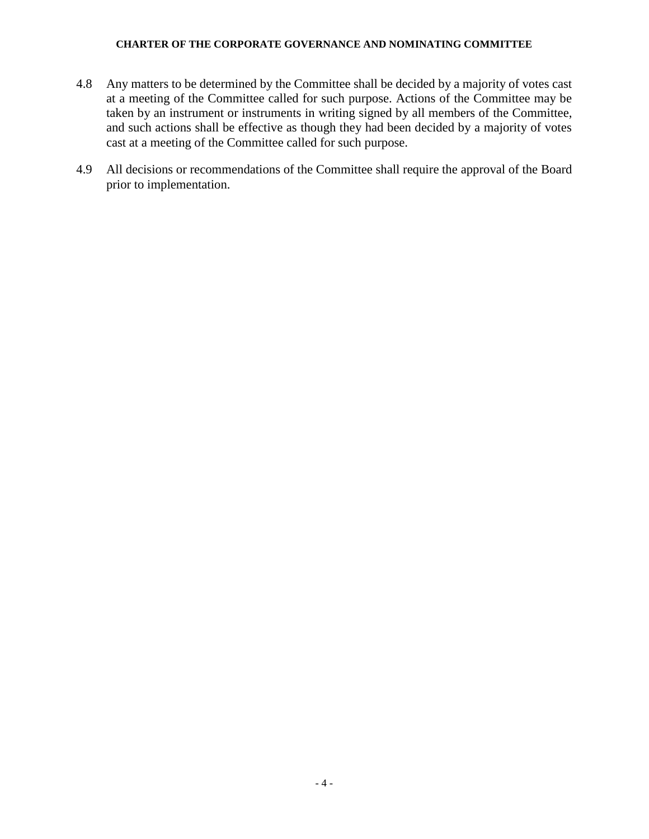#### **CHARTER OF THE CORPORATE GOVERNANCE AND NOMINATING COMMITTEE**

- 4.8 Any matters to be determined by the Committee shall be decided by a majority of votes cast at a meeting of the Committee called for such purpose. Actions of the Committee may be taken by an instrument or instruments in writing signed by all members of the Committee, and such actions shall be effective as though they had been decided by a majority of votes cast at a meeting of the Committee called for such purpose.
- 4.9 All decisions or recommendations of the Committee shall require the approval of the Board prior to implementation.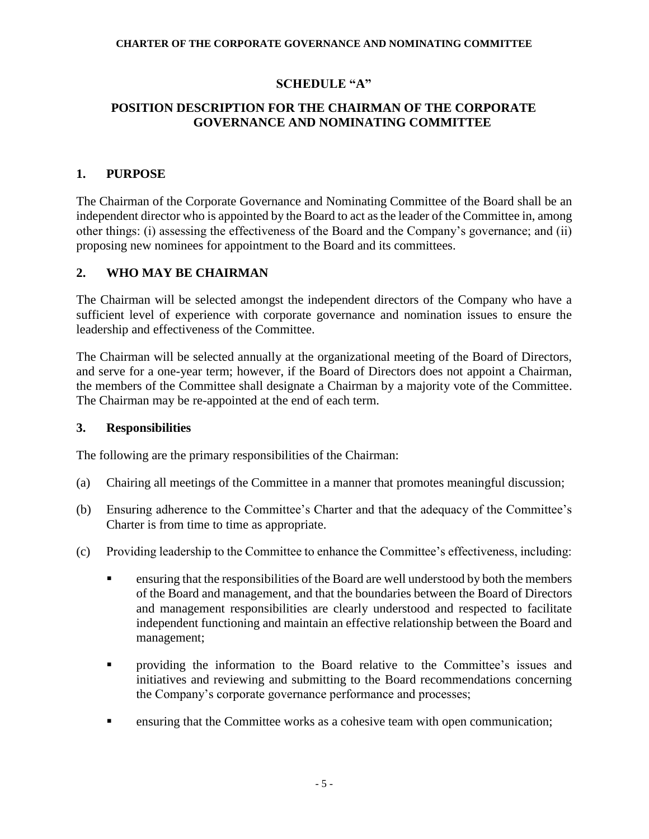## **SCHEDULE "A"**

## **POSITION DESCRIPTION FOR THE CHAIRMAN OF THE CORPORATE GOVERNANCE AND NOMINATING COMMITTEE**

## **1. PURPOSE**

The Chairman of the Corporate Governance and Nominating Committee of the Board shall be an independent director who is appointed by the Board to act as the leader of the Committee in, among other things: (i) assessing the effectiveness of the Board and the Company's governance; and (ii) proposing new nominees for appointment to the Board and its committees.

### **2. WHO MAY BE CHAIRMAN**

The Chairman will be selected amongst the independent directors of the Company who have a sufficient level of experience with corporate governance and nomination issues to ensure the leadership and effectiveness of the Committee.

The Chairman will be selected annually at the organizational meeting of the Board of Directors, and serve for a one-year term; however, if the Board of Directors does not appoint a Chairman, the members of the Committee shall designate a Chairman by a majority vote of the Committee. The Chairman may be re-appointed at the end of each term.

### **3. Responsibilities**

The following are the primary responsibilities of the Chairman:

- (a) Chairing all meetings of the Committee in a manner that promotes meaningful discussion;
- (b) Ensuring adherence to the Committee's Charter and that the adequacy of the Committee's Charter is from time to time as appropriate.
- (c) Providing leadership to the Committee to enhance the Committee's effectiveness, including:
	- ensuring that the responsibilities of the Board are well understood by both the members of the Board and management, and that the boundaries between the Board of Directors and management responsibilities are clearly understood and respected to facilitate independent functioning and maintain an effective relationship between the Board and management;
	- providing the information to the Board relative to the Committee's issues and initiatives and reviewing and submitting to the Board recommendations concerning the Company's corporate governance performance and processes;
	- **EXECUTE:** ensuring that the Committee works as a cohesive team with open communication;